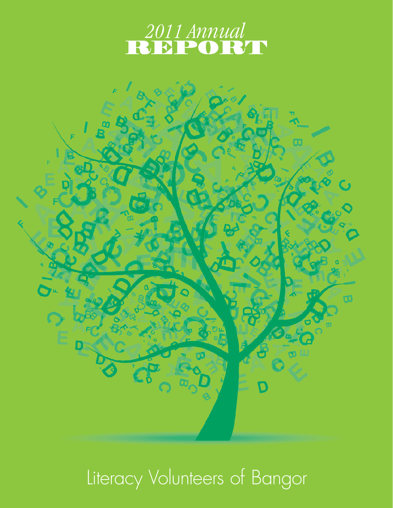



# Literacy Volunteers of Bangor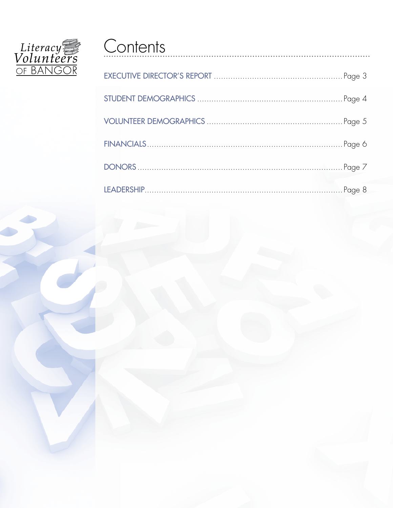

## Contents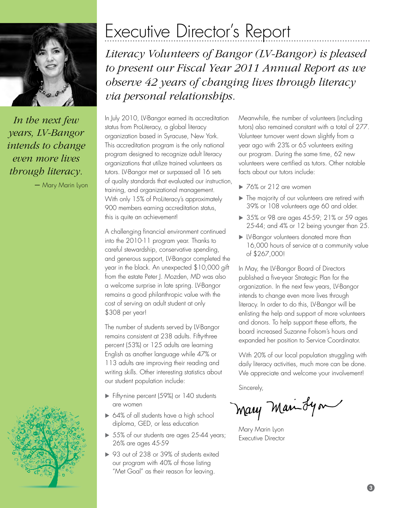<span id="page-2-0"></span>

*In the next few years, LV-Bangor intends to change even more lives through literacy.*

*–* Mary Marin Lyon



## Executive Director's Report

*Literacy Volunteers of Bangor (LV-Bangor) is pleased to present our Fiscal Year 2011 Annual Report as we observe 42 years of changing lives through literacy via personal relationships.* 

In July 2010, LV-Bangor earned its accreditation status from ProLiteracy, a global literacy organization based in Syracuse, New York. This accreditation program is the only national program designed to recognize adult literacy organizations that utilize trained volunteers as tutors. LV-Bangor met or surpassed all 16 sets of quality standards that evaluated our instruction, training, and organizational management. With only 15% of ProLiteracy's approximately 900 members earning accreditation status, this is quite an achievement!

A challenging financial environment continued into the 2010-11 program year. Thanks to careful stewardship, conservative spending, and generous support, LV-Bangor completed the year in the black. An unexpected \$10,000 gift from the estate Peter J. Mozden, MD was also a welcome surprise in late spring. LV-Bangor remains a good philanthropic value with the cost of serving an adult student at only \$308 per year!

The number of students served by LV-Bangor remains consistent at 238 adults. Fifty-three percent (53%) or 125 adults are learning English as another language while 47% or 113 adults are improving their reading and writing skills. Other interesting statistics about our student population include:

- Fifty-nine percent (59%) or 140 students are women
- ▶ 64% of all students have a high school diploma, GED, or less education
- ▶ 55% of our students are ages 25-44 years; 26% are ages 45-59
- ▶ 93 out of 238 or 39% of students exited our program with 40% of those listing "Met Goal" as their reason for leaving.

Meanwhile, the number of volunteers (including tutors) also remained constant with a total of 277. Volunteer turnover went down slightly from a year ago with 23% or 65 volunteers exiting our program. During the same time, 62 new volunteers were certified as tutors. Other notable facts about our tutors include:

- ▶ 76% or 212 are women
- $\blacktriangleright$  The majority of our volunteers are retired with 39% or 108 volunteers age 60 and older.
- ▶ 35% or 98 are ages 45-59; 21% or 59 ages 25-44; and 4% or 12 being younger than 25.
- LV-Bangor volunteers donated more than 16,000 hours of service at a community value of \$267,000!

In May, the LV-Bangor Board of Directors published a five-year Strategic Plan for the organization. In the next few years, LV-Bangor intends to change even more lives through literacy. In order to do this, LV-Bangor will be enlisting the help and support of more volunteers and donors. To help support these efforts, the board increased Suzanne Folsom's hours and expanded her position to Service Coordinator.

With 20% of our local population struggling with daily literacy activities, much more can be done. We appreciate and welcome your involvement!

Sincerely,

Mary Man Lyon

Mary Marin Lyon Executive Director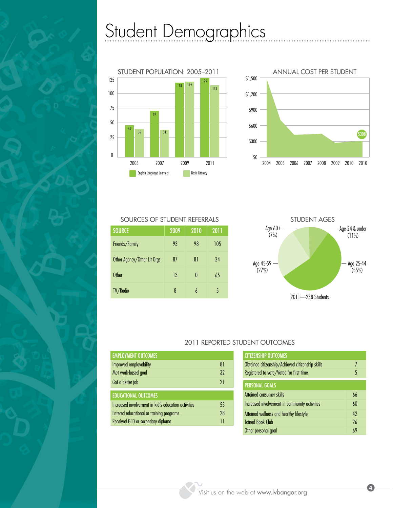## <span id="page-3-0"></span>Student Demographics





| <b>SOURCE</b>               | 2009 | 2010     | 2011 |
|-----------------------------|------|----------|------|
| Friends/Family              | 93   | 98       | 105  |
| Other Agency/Other Lit Orgs | 87   | 81       | 24   |
| <b>Other</b>                | 13   | $\theta$ | 65   |
| TV/Radio                    | 8    | h        | 5    |



### 2011 Reported Student Outcomes

| <b>EMPLOYMENT OUTCOMES</b>                          |    |
|-----------------------------------------------------|----|
| Improved employability                              | 81 |
| Met work-based goal                                 | 32 |
| Got a better job                                    | 21 |
| <b>EDUCATIONAL OUTCOMES</b>                         |    |
| Increased involvement in kid's education activities | 55 |
| Entered educational or training programs            | 28 |
| Received GED or secondary diploma                   |    |

| <b>CITIZENSHIP OUTCOMES</b>                      |    |
|--------------------------------------------------|----|
| Obtained citizenship/Achieved citizenship skills | 7  |
| Registered to vote/Voted for first time          | 5  |
| <b>PERSONAL GOALS</b>                            |    |
| Attained consumer skills                         | 66 |
| Increased involvement in community activities    | 60 |
| Attained wellness and healthy lifestyle          | 42 |
| Joined Book Club                                 | 26 |
| Other personal goal                              | 69 |

4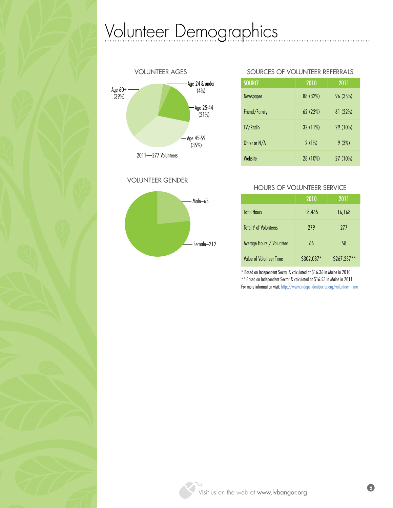## <span id="page-4-0"></span>Volunteer Demographics



Volunteer Gender



### sources of volunteer referrals

. . . . .

| <b>SOURCE</b>    | 2010     | 2011       |
|------------------|----------|------------|
| <b>Newspaper</b> | 88 (32%) | 96 (35%)   |
| Friend/Family    | 62(22%)  | 61(22%)    |
| TV/Radio         | 32 (11%) | 29 (10%)   |
| Other or N/A     | 2(1%)    | 9(3%)      |
| Website          | 28 (10%) | $27(10\%)$ |

### Hours of volunteer service

|                                | 2010       | 2011        |
|--------------------------------|------------|-------------|
| <b>Total Hours</b>             | 18,465     | 16,168      |
| Total # of Volunteers          | 279        | 277         |
| Average Hours / Volunteer      | 66         | 58          |
| <b>Value of Volunteer Time</b> | \$302,087* | \$267,257** |

\* Based on Independent Sector & calculated at \$16.36 in Maine in 2010 \*\* Based on Independent Sector & calculated at \$16.53 in Maine in 2011

For more information visit: [http://www.independentsector.org/volunteer\\_time](http://www.independentsector.org/volunteer_time)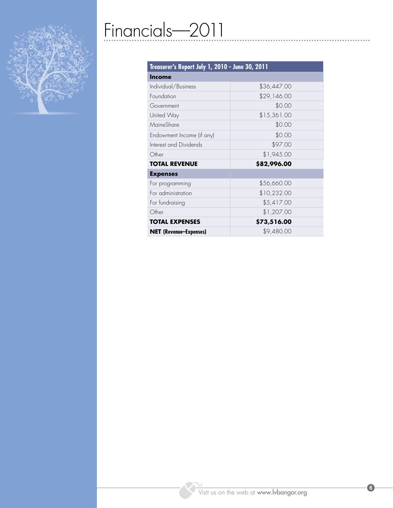<span id="page-5-0"></span>

## Financials—2011

| Treasurer's Report July 1, 2010 - June 30, 2011 |             |  |
|-------------------------------------------------|-------------|--|
| <b>Income</b>                                   |             |  |
| Individual/Business                             | \$36,447.00 |  |
| Foundation                                      | \$29,146.00 |  |
| Government                                      | \$0.00      |  |
| United Way                                      | \$15,361.00 |  |
| MaineShare                                      | \$0.00      |  |
| Endowment Income (if any)                       | \$0.00      |  |
| Interest and Dividends                          | \$97.00     |  |
| Other                                           | \$1,945.00  |  |
| <b>TOTAL REVENUE</b>                            | \$82,996.00 |  |
| <b>Expenses</b>                                 |             |  |
| For programming                                 | \$56,660.00 |  |
| For administration                              | \$10,232.00 |  |
| For fundraising                                 | \$5,417.00  |  |
| Other                                           | \$1,207.00  |  |
| <b>TOTAL EXPENSES</b>                           | \$73,516.00 |  |
| <b>NET</b> (Revenue-Expenses)                   | \$9,480.00  |  |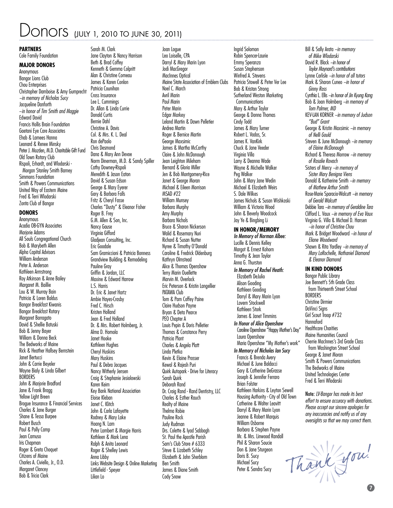### <span id="page-6-0"></span>ONOTS (JULY 1, 2010 TO JUNE 30, 2011)

Sarah M. Clark

#### **Partners**

Cole Family Foundation

### **Major Donors**

Anonymous Bangor Lions Club Chou Enterprises Christopher Damboise & Amy Gumprecht *~in memory of Nicholas Sucy* Jacqueline Danforth ~*in honor of Tim Smith and Maggie* Edward David Francis Hollis Brain Foundation Gaetani Eye Care Associates Ehab & Lamees Hanna Leonard & Renee Minsky Peter J. Mozden, M.D. Charitable Gift Fund Old Town Rotary Club Rispoli, Erhardt, and Wlodarski - Morgan Stanley Smith Barney Simmons Foundation Smith & Powers Communications United Way of Eastern Maine Fred & Terri Wlodarski Zonta Club of Bangor

### **Donors**

Anonymous Acadia OB-GYN Associates Mariorie Adams All Souls Congregational Church Bob & Marybeth Allen Alpha Capital Advisors William Anderson Peter A. Anderson Kathleen Armstrong Roy Atkinson & Anne Bailey Margaret M. Baillie Lou & W. Murray Bain Patricia & Loren Baldus Bangor Breakfast Kiwanis Bangor Breakfast Rotary Margaret Barragato David & Shellie Batuski Bob & Jenny Bayer William & Donna Beck The Bedworks of Maine Rick & Heather Hallsey Bernstein Janet Bertucci John & Carrie Beyeler Wayne Bialy & Linda Gilbert **BORDERS** John & Marjorie Bradford Jane & Frank Bragg Yellow Light Breen Brogue Insurance & Financial Services Charles & Jane Burger Shane & Tessa Burpee Robert Busch Paul & Polly Camp Jean Camuso Iris Chanman Roger & Greta Choquet Citizens of Maine Charles A. Civiello, Jr., O.D. Margaret Clancey Bob & Tricia Clark

Jane Clayton & Nancy Harrison Beth & Brad Coffey Kenneth & Gemma Colpritt Alan & Christine Comeau James & Karen Conlon Patricia Counihan Cross Insurance Lee L. Cummings Dr. Allan & Linda Currie Donald Curtis Bernie Dahl Christine A. Davis Col. & Mrs. K. L. Deal Ron dePaolo Chris Desmond Dana & Mary Ann Devoe Norm Dinerman, M.D. & Sandy Spiller Cathy Downey-Rispoli Meredith & Jason Eaton David & Susan Edson George & Mary Eyerer Gary & Barbara Falls Fritz & Cheryl Fasse Charles "Dusty" & Eleanor Fisher Roger B. Frey G.M. Allen & Son, Inc. Nancy Gause Virginia Gifford Gladjean Consulting, Inc. Eric Goodale Sam Gramiccioni & Patricia Bonness Grandview Building & Remodeling Pauline Gray Griffin & Jordan, LLC Maxine & Edward Harrow L.S. Harris Dr. Eric & Janet Hartz Ambie Hayes-Crosby Fred C. Hirsch Kristen Holland Jean & Fred Holland Dr. & Mrs. Robert Holmberg, Jr. Alma D. Homola Janet Hooke Kathleen Hughes Cheryl Huskins Mary Huskins Paul & Debra Jacques Nancy Witherly Jensen Craig & Stephanie Jesiolowski Karen Keim Key Bank National Association Eloise Kleban Janet C. Klitch John & Carla Lafayette Rodney & Mary Lake Hoang N. Lam Peter Lambert & Margie Harris Kathleen & Mark Lena Ralph & Anita Leonard Roger & Shelley Lewis Anna Libby Links Website Design & Online Marketing Littlefield - Speyer Lilian Lo

Joan Logue Leo Loiselle, CPA Darryl & Mary Marin Lyon Jodi MacGregor MacInnes Optical Maine State Association of Emblem Clubs Noel C. March Avril Marin Paul Marin Peter Marin Edgar Markey Leland Martin & Dawn Pelletier Andrea Martin Roger & Bernice Martin George Maxsimic James & Martha McCarthy Claire & John McDonough Jean Leighton Mileham Bernard & Gloria Miller Jen & Bob Montgomery-Rice Janet & George Moran Michael & Eileen Morrison MSAD #22 William Munsey Barbara Murphy Amy Murphy Barbara Nichols Bruce & Sharon Nickerson Walid & Rosemary Nuri Richard & Susan Nutter Nyree & Timothy O'Donald Caroline & Fredrick Oldenburg Kathryn Olmstead Alice & Thomas Openshaw Terry Marin Ouellette Marvin M. Overlock Eric Peterson & Kristin Langellier PATAWA Club Tom & Pam Coffey Paine Claire Hudson Payne Bryan & Deta Pearce PEO Chapter A Louis Pepin & Doris Pelletier Thomas & Constance Perry Patricia Plant Charles & Angela Platt Linda Pletka Kevin & Elaine Prosser Kewal & Rajesh Puri Quirk Autopark - Drive for Literacy Sarah Quirk Deborah Rand Dr. Craig Rand - Rand Dentistry, LLC Charles & Esther Rauch Realty of Maine Thelma Robie Pauline Rock Judy Rudman Drs. Colette & Iyad Sabbagh St. Paul the Apostle Parish Sam's Club Store # 6333 Steve & Lizabeth Schley Elizabeth & John Sherblom Ben Smith James & Diane Smith Cody Snow

Ingrid Solomon Robin Spencer-Laurie Emmy Speranza Susan Stephenson Winfred A. Stevens Patricia Stowell & Peter Ver Lee Bob & Kristan Strong Sutherland Weston Marketing **Communications** Mary & Arthur Taylor George & Donna Thomas Cindy Todd James & Mary Turner Robert L. Vadas, Sr. James K. VanKirk Chuck & Jane Veeder Virginia Villa Larry & Deanna Wade Wayne & Michelle Walker Peg Walker John & Mary Jane Wedin Michael & Elizabeth Weirs S. Dale Wilkes James Nichols & Susan Wishkoski William & Victoria Wood John & Beverly Woodcock Jay Ye & Bingbing Li

### **In Honor/memory**

*In Memory of Norman Albee:* Lucille & Dennis Kelley Margot & Ernest Kohorn Timothy & Jean Taylor Anna G. Thurston

*In Memory of Rachel Heath:* Elizabeth DeJulio Alison Gooding Kathleen Gooding Darryl & Mary Marin Lyon Lovern Stockwell Kathleen Stork James & Janet Timmins *In Honor of Alice Openshaw* Caroline Openshaw "Happy Mother's Day" Laura Openshaw Maria Openshaw "My Mother's work" *In Memory of Nicholas Ian Sucy*

Francis & Brenda Avery Michael & June Baldacci Gary & Catherine DeGrasse Joseph & Jennifer Ferraro Brian Folster Kathleen Harkins & Leyton Sewell Housing Authority - City of Old Town Catherine & Walter Leavitt Darryl & Mary Marin Lyon Jeanne & Robert Marquis William Osborne Barbara & Stephen Payne Mr. & Mrs. Linwood Randall Phil & Sharon Soucie Don & Jane Sturgeon Doris B. Sucy Michael Sucy Peter & Sandra Sucy

*of Mike Wlodarski* David R. Black *~in honor of Taylor Maynard's contributions* Lynne Carlisle *~in honor of all tutors* Mark & Sharon Cuneo *~in honor of Ginny Ross*  Cynthia L. Ellis *~in honor of Jin Kyung Kang*  Bob & Joan Holmberg *~in memory of Tom Palmer, MD*  KEV-LAN KORNER *~in memory of Judson "Bud" Grant*  George & Kristin Maxsimic *~in memory of Nelli Gould*  Steven & June McDonough *~in memory of Elaine McDonough*  Richard & Theresa Morrow *~in memory of Rosalie Rovach* Sisters of Mercy *~in memory of Sister Mary Benigna Viens*  Donald & Katherine Smith *~in memory of Mathew Arthur Smith*  Rose-Marie Sparacio-Walcutt *~in memory of Gerald Walcutt*  Debbie Tara *~in memory of Geraldine Tara*  Clifford L. Vaux *~in memory of Eva Vaux*  Virginia G. Villa & Michael D. Hansen *~in honor of Christine Chou* Mark & Bridget Woodward *~in honor of Eliane Woodward* 

Bill & Sally Arata *~in memory* 

Shawn & Rita Yardley *~in memory of Mary LaRochelle, Nathaniel Diamond & Eleanor Diamond* 

### **In Kind Donors**

Bangor Public Library Joe Bennett's 5th Grade Class from Thirteenth Street School **BORDERS** Christine Dirmier DaVinci Signs Girl Scout Troop #732 Hannaford Healthcare Charities Maine Humanities Council Cherrie MacInnes's 3rd Grade Class from Washington Street School George & Janet Moran Smith & Powers Communications The Bedworks of Maine United Technologies Center Fred & Terri Wlodarski

Note: *LV-Bangor has made its best effort to ensure accuracy with donations. Please accept our sincere apologies for any inaccuracies and notify us of any oversights so that we may correct them.*

Thank you!  $\mathbf 0$